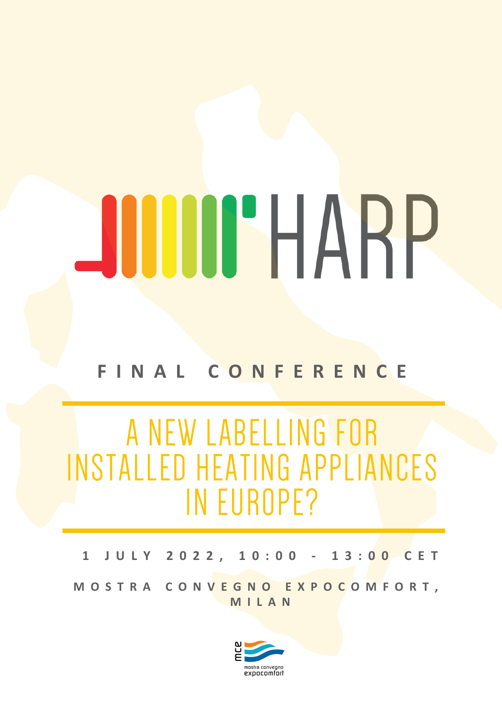## JUUHARP

## **F I N A L C O N F E R E N C E**

## A NEW LABELLING FOR INSTALLED HEATING APPLIANCES IN EUROPE?

**1 J U L Y 2 0 2 2 , 1 0 : 0 0 - 1 3 : 0 0 C E T**

MOSTRA CONVEGNO EXPOCOMFORT, **M I L A N**